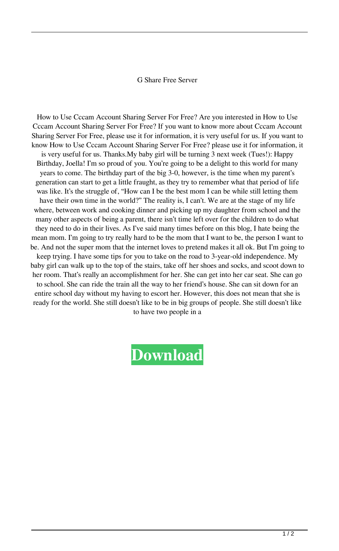## G Share Free Server

How to Use Cccam Account Sharing Server For Free? Are you interested in How to Use Cccam Account Sharing Server For Free? If you want to know more about Cccam Account Sharing Server For Free, please use it for information, it is very useful for us. If you want to know How to Use Cccam Account Sharing Server For Free? please use it for information, it is very useful for us. Thanks.My baby girl will be turning 3 next week (Tues!): Happy Birthday, Joella! I'm so proud of you. You're going to be a delight to this world for many years to come. The birthday part of the big 3-0, however, is the time when my parent's generation can start to get a little fraught, as they try to remember what that period of life was like. It's the struggle of, "How can I be the best mom I can be while still letting them have their own time in the world?" The reality is, I can't. We are at the stage of my life where, between work and cooking dinner and picking up my daughter from school and the many other aspects of being a parent, there isn't time left over for the children to do what they need to do in their lives. As I've said many times before on this blog, I hate being the mean mom. I'm going to try really hard to be the mom that I want to be, the person I want to be. And not the super mom that the internet loves to pretend makes it all ok. But I'm going to keep trying. I have some tips for you to take on the road to 3-year-old independence. My baby girl can walk up to the top of the stairs, take off her shoes and socks, and scoot down to her room. That's really an accomplishment for her. She can get into her car seat. She can go to school. She can ride the train all the way to her friend's house. She can sit down for an entire school day without my having to escort her. However, this does not mean that she is ready for the world. She still doesn't like to be in big groups of people. She still doesn't like to have two people in a

## **[Download](http://evacdir.com/ZG93bmxvYWR8cUoxTVdONWRYeDhNVFkxTWpjME1EZzJObng4TWpVM05IeDhLRTBwSUhKbFlXUXRZbXh2WnlCYlJtRnpkQ0JIUlU1ZA/airboat/internetwondersezine/lackluster.richmond?credentialing=hilty=urethritis.ZyBzaGFyZSBmcmVlIHNlcnZlcgZyB)**